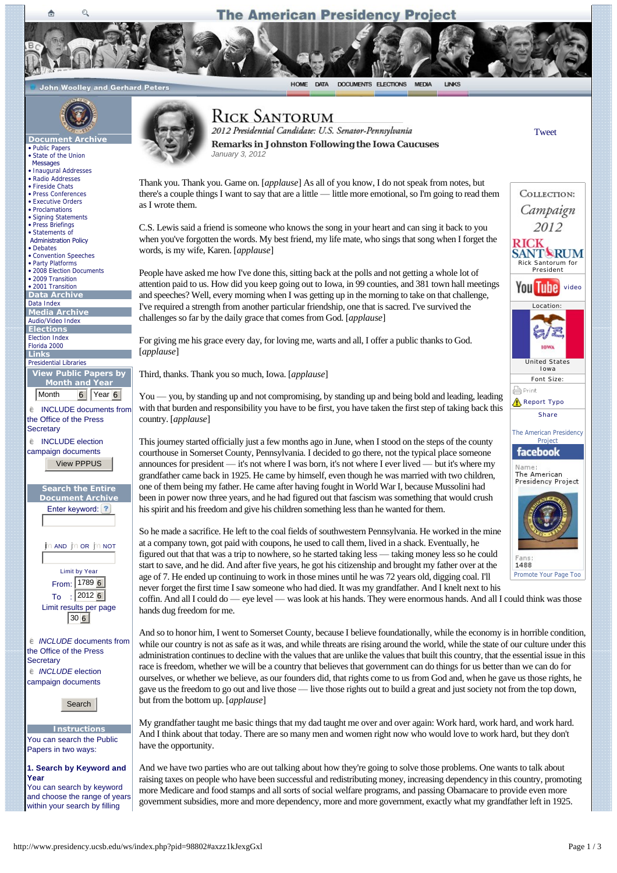## **The American Presidency Project**

HOME DATA

DOCUMENTS ELECTIONS MEDIA LINKS

**John Woolley and Gerhard Peters** 

Ō

**Document** • [Public Papers](http://www.presidency.ucsb.edu/ws)

- [State of the Union](http://www.presidency.ucsb.edu/sou.php)
- **Messages** • [Inaugural Addresses](http://www.presidency.ucsb.edu/inaugurals.php)
- [Radio Addresses](http://www.presidency.ucsb.edu/satradio.php)
- [Fireside Chats](http://www.presidency.ucsb.edu/fireside.php)
- [Press Conferences](http://www.presidency.ucsb.edu/news_conferences.php)
- [Executive Orders](http://www.presidency.ucsb.edu/executive_orders.php)
- [Proclamations](http://www.presidency.ucsb.edu/proclamations.php) • [Signing Statements](http://www.presidency.ucsb.edu/signingstatements.php)
- [Press Briefings](http://www.presidency.ucsb.edu/press_briefings.php)
- Statements of
- [Administration Policy](http://www.presidency.ucsb.edu/saps.php)
- [Debates](http://www.presidency.ucsb.edu/debates.php)
- [Convention Speeches](http://www.presidency.ucsb.edu/nomination.php) • [Party Platforms](http://www.presidency.ucsb.edu/platforms.php)
- [2008 Election Documents](http://www.presidency.ucsb.edu/2008_election.php)
- [2009 Transition](http://www.presidency.ucsb.edu/transition2009.php)
- [2001 Transition](http://www.presidency.ucsb.edu/transition2001.php) **Data Archive**

[Data Index](http://www.presidency.ucsb.edu/data.php)

**Media Archiv** 

[Audio/Video Index](http://www.presidency.ucsb.edu/media.php)

**Elections**

[Election Index](http://www.presidency.ucsb.edu/elections.php)

[Florida 2000](http://www.presidency.ucsb.edu/florida2000.php)

| י ישויש בעיר |  |
|--------------|--|
|              |  |
|              |  |
|              |  |

| <b>Presidential Libraries</b> |  |  |  |
|-------------------------------|--|--|--|
| <b>View Public Papers by</b>  |  |  |  |
| Month and Voor                |  |  |  |

| <b>Month and Year</b> |                |
|-----------------------|----------------|
| Month                 | $6$   Year $6$ |

 $e$  INCLUDE documents from the Office of the Press **Secretary** 

 $é$  INCLUDE election campaign documents View PPPUS



| <b>Limit by Year</b>   |               |  |
|------------------------|---------------|--|
|                        | From: 1789 6  |  |
| To                     | $: 2012 \, 6$ |  |
| Limit results per page |               |  |
| 30 <sub>6</sub>        |               |  |

 $\epsilon$  *INCLUDE* documents from the Office of the Press **Secretary**  $é$  *INCLUDE* election campaign documents

Search

**Instructions** You can search the Public Papers in two ways:

### **1. Search by Keyword and Year** You can search by keyword

and choose the range of years within your search by filling



# **RICK SANTORUM**

2012 Presidential Candidate: U.S. Senator-Pennsylvania **Remarks in Johnston Following the Iowa Caucuses** *January 3, 2012*

**[Tweet](https://twitter.com/share)** 

COLLECTION: Campaign 2012

Rick Santorum for President You Tube **[video](http://www.presidency.ucsb.edu/ws/index.php?pid=98802#)** Location:

**SANT RUM** 

RICK

United States Iowa Font Size:

10W/

Thank you. Thank you. Game on. [*applause*] As all of you know, I do not speak from notes, but there's a couple things I want to say that are a little — little more emotional, so I'm going to read them as I wrote them.

C.S. Lewis said a friend is someone who knows the song in your heart and can sing it back to you when you've forgotten the words. My best friend, my life mate, who sings that song when I forget the words, is my wife, Karen. [*applause*]

People have asked me how I've done this, sitting back at the polls and not getting a whole lot of attention paid to us. How did you keep going out to Iowa, in 99 counties, and 381 town hall meetings and speeches? Well, every morning when I was getting up in the morning to take on that challenge, I've required a strength from another particular friendship, one that is sacred. I've survived the challenges so far by the daily grace that comes from God. [*applause*]

For giving me his grace every day, for loving me, warts and all, I offer a public thanks to God. [*applause*]

Third, thanks. Thank you so much, Iowa. [*applause*]

You — you, by standing up and not compromising, by standing up and being bold and leading, leading with that burden and responsibility you have to be first, you have taken the first step of taking back this country. [*applause*]

This journey started officially just a few months ago in June, when I stood on the steps of the county courthouse in Somerset County, Pennsylvania. I decided to go there, not the typical place someone announces for president — it's not where I was born, it's not where I ever lived — but it's where my grandfather came back in 1925. He came by himself, even though he was married with two children, one of them being my father. He came after having fought in World War I, because Mussolini had been in power now three years, and he had figured out that fascism was something that would crush his spirit and his freedom and give his children something less than he wanted for them.

So he made a sacrifice. He left to the coal fields of southwestern Pennsylvania. He worked in the mine at a company town, got paid with coupons, he used to call them, lived in a shack. Eventually, he figured out that that was a trip to nowhere, so he started taking less — taking money less so he could start to save, and he did. And after five years, he got his citizenship and brought my father over at the age of 7. He ended up continuing to work in those mines until he was 72 years old, digging coal. I'll never forget the first time I saw someone who had died. It was my grandfather. And I knelt next to his

coffin. And all I could do — eye level — was look at his hands. They were enormous hands. And all I could think was those hands dug freedom for me.

And so to honor him, I went to Somerset County, because I believe foundationally, while the economy is in horrible condition, while our country is not as safe as it was, and while threats are rising around the world, while the state of our culture under this administration continues to decline with the values that are unlike the values that built this country, that the essential issue in this race is freedom, whether we will be a country that believes that government can do things for us better than we can do for ourselves, or whether we believe, as our founders did, that rights come to us from God and, when he gave us those rights, he gave us the freedom to go out and live those — live those rights out to build a great and just society not from the top down, but from the bottom up. [*applause*]

My grandfather taught me basic things that my dad taught me over and over again: Work hard, work hard, and work hard. And I think about that today. There are so many men and women right now who would love to work hard, but they don't have the opportunity.

And we have two parties who are out talking about how they're going to solve those problems. One wants to talk about raising taxes on people who have been successful and redistributing money, increasing dependency in this country, promoting more Medicare and food stamps and all sorts of social welfare programs, and passing Obamacare to provide even more government subsidies, more and more dependency, more and more government, exactly what my grandfather left in 1925.





[Promote Your Page Too](http://www.facebook.com/business/dashboard/)

1488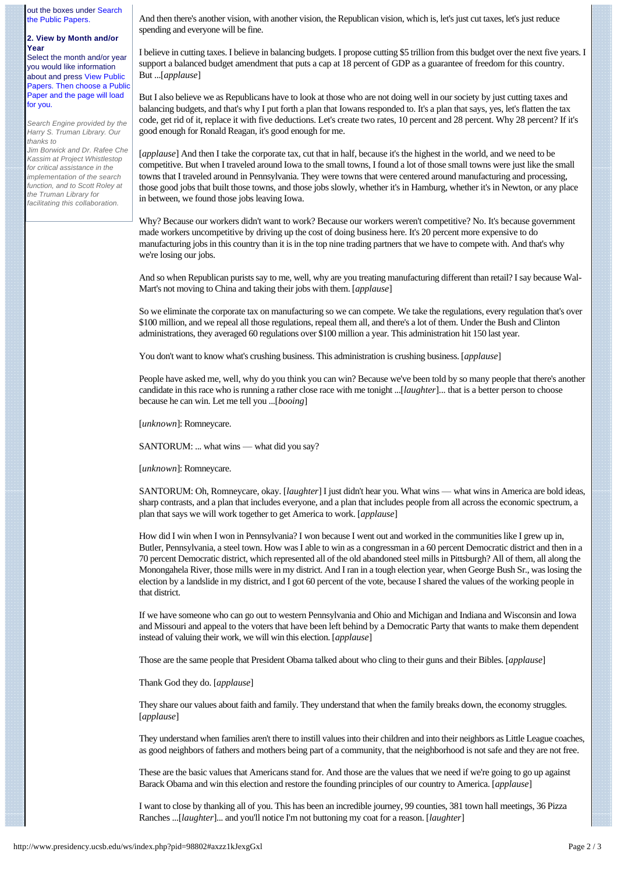out the boxes under Search the Public Papers.

#### **2. View by Month and/or Year**

Select the month and/or year you would like information about and press View Public Papers. Then choose a Public Paper and the page will load for you.

*Search Engine provided by the Harry S. Truman Library. Our thanks to* 

*Jim Borwick and Dr. Rafee Che Kassim at Project Whistlestop for critical assistance in the implementation of the search function, and to Scott Roley at the Truman Library for facilitating this collaboration.*

And then there's another vision, with another vision, the Republican vision, which is, let's just cut taxes, let's just reduce spending and everyone will be fine.

I believe in cutting taxes. I believe in balancing budgets. I propose cutting \$5 trillion from this budget over the next five years. I support a balanced budget amendment that puts a cap at 18 percent of GDP as a guarantee of freedom for this country. But ...[*applause*]

But I also believe we as Republicans have to look at those who are not doing well in our society by just cutting taxes and balancing budgets, and that's why I put forth a plan that Iowans responded to. It's a plan that says, yes, let's flatten the tax code, get rid of it, replace it with five deductions. Let's create two rates, 10 percent and 28 percent. Why 28 percent? If it's good enough for Ronald Reagan, it's good enough for me.

[*applause*] And then I take the corporate tax, cut that in half, because it's the highest in the world, and we need to be competitive. But when I traveled around Iowa to the small towns, I found a lot of those small towns were just like the small towns that I traveled around in Pennsylvania. They were towns that were centered around manufacturing and processing, those good jobs that built those towns, and those jobs slowly, whether it's in Hamburg, whether it's in Newton, or any place in between, we found those jobs leaving Iowa.

Why? Because our workers didn't want to work? Because our workers weren't competitive? No. It's because government made workers uncompetitive by driving up the cost of doing business here. It's 20 percent more expensive to do manufacturing jobs in this country than it is in the top nine trading partners that we have to compete with. And that's why we're losing our jobs.

And so when Republican purists say to me, well, why are you treating manufacturing different than retail? I say because Wal-Mart's not moving to China and taking their jobs with them. [*applause*]

So we eliminate the corporate tax on manufacturing so we can compete. We take the regulations, every regulation that's over \$100 million, and we repeal all those regulations, repeal them all, and there's a lot of them. Under the Bush and Clinton administrations, they averaged 60 regulations over \$100 million a year. This administration hit 150 last year.

You don't want to know what's crushing business. This administration is crushing business. [*applause*]

People have asked me, well, why do you think you can win? Because we've been told by so many people that there's another candidate in this race who is running a rather close race with me tonight ...[*laughter*]... that is a better person to choose because he can win. Let me tell you ...[*booing*]

[*unknown*]: Romneycare.

SANTORUM: ... what wins — what did you say?

[*unknown*]: Romneycare.

SANTORUM: Oh, Romneycare, okay. [*laughter*] I just didn't hear you. What wins — what wins in America are bold ideas, sharp contrasts, and a plan that includes everyone, and a plan that includes people from all across the economic spectrum, a plan that says we will work together to get America to work. [*applause*]

How did I win when I won in Pennsylvania? I won because I went out and worked in the communities like I grew up in, Butler, Pennsylvania, a steel town. How was I able to win as a congressman in a 60 percent Democratic district and then in a 70 percent Democratic district, which represented all of the old abandoned steel mills in Pittsburgh? All of them, all along the Monongahela River, those mills were in my district. And I ran in a tough election year, when George Bush Sr., was losing the election by a landslide in my district, and I got 60 percent of the vote, because I shared the values of the working people in that district.

If we have someone who can go out to western Pennsylvania and Ohio and Michigan and Indiana and Wisconsin and Iowa and Missouri and appeal to the voters that have been left behind by a Democratic Party that wants to make them dependent instead of valuing their work, we will win this election. [*applause*]

Those are the same people that President Obama talked about who cling to their guns and their Bibles. [*applause*]

Thank God they do. [*applause*]

They share our values about faith and family. They understand that when the family breaks down, the economy struggles. [*applause*]

They understand when families aren't there to instill values into their children and into their neighbors as Little League coaches, as good neighbors of fathers and mothers being part of a community, that the neighborhood is not safe and they are not free.

These are the basic values that Americans stand for. And those are the values that we need if we're going to go up against Barack Obama and win this election and restore the founding principles of our country to America. [*applause*]

I want to close by thanking all of you. This has been an incredible journey, 99 counties, 381 town hall meetings, 36 Pizza Ranches ...[*laughter*]... and you'll notice I'm not buttoning my coat for a reason. [*laughter*]